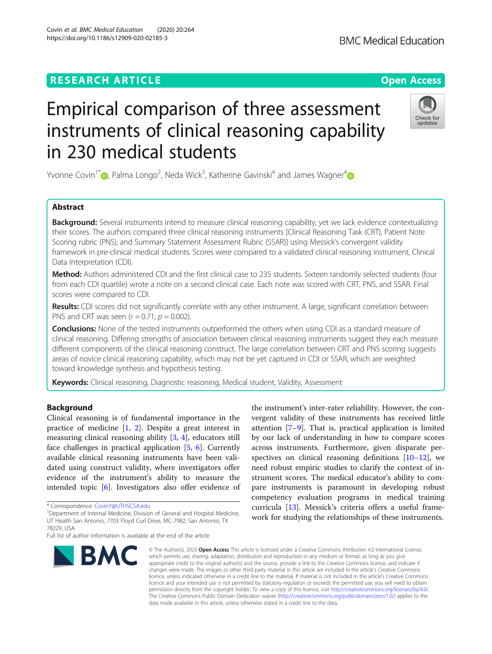# **RESEARCH ARTICLE Example 2014 12:30 The Contract of Contract ACCESS**

# Empirical comparison of three assessment instruments of clinical reasoning capability in 230 medical students

Yvonne Covin<sup>1\*</sup> (**b**[,](https://orcid.org/0000-0001-9785-2135) Palma Longo<sup>2</sup>, Neda Wick<sup>3</sup>, Katherine Gavinski<sup>[4](https://orcid.org/0000-0001-9903-6588)</sup> and James Wagner<sup>4</sup>

# Abstract

Background: Several instruments intend to measure clinical reasoning capability, yet we lack evidence contextualizing their scores. The authors compared three clinical reasoning instruments [Clinical Reasoning Task (CRT), Patient Note Scoring rubric (PNS), and Summary Statement Assessment Rubric (SSAR)] using Messick's convergent validity framework in pre-clinical medical students. Scores were compared to a validated clinical reasoning instrument, Clinical Data Interpretation (CDI).

Method: Authors administered CDI and the first clinical case to 235 students. Sixteen randomly selected students (four from each CDI quartile) wrote a note on a second clinical case. Each note was scored with CRT, PNS, and SSAR. Final scores were compared to CDI.

Results: CDI scores did not significantly correlate with any other instrument. A large, significant correlation between PNS and CRT was seen  $(r = 0.71; p = 0.002)$ .

**Conclusions:** None of the tested instruments outperformed the others when using CDI as a standard measure of clinical reasoning. Differing strengths of association between clinical reasoning instruments suggest they each measure different components of the clinical reasoning construct. The large correlation between CRT and PNS scoring suggests areas of novice clinical reasoning capability, which may not be yet captured in CDI or SSAR, which are weighted toward knowledge synthesis and hypothesis testing.

Keywords: Clinical reasoning, Diagnostic reasoning, Medical student, Validity, Assessment

# Background

Clinical reasoning is of fundamental importance in the practice of medicine [\[1](#page-6-0), [2\]](#page-6-0). Despite a great interest in measuring clinical reasoning ability [[3,](#page-6-0) [4](#page-6-0)], educators still face challenges in practical application [[5,](#page-6-0) [6\]](#page-6-0). Currently available clinical reasoning instruments have been validated using construct validity, where investigators offer evidence of the instrument's ability to measure the intended topic [[6\]](#page-6-0). Investigators also offer evidence of

# © The Author(s), 2020 **Open Access** This article is licensed under a Creative Commons Attribution 4.0 International License, which permits use, sharing, adaptation, distribution and reproduction in any medium or format, as long as you give appropriate credit to the original author(s) and the source, provide a link to the Creative Commons licence, and indicate if changes were made. The images or other third party material in this article are included in the article's Creative Commons licence and your intended use is not permitted by statutory regulation or exceeds the permitted use, you will need to obtain data made available in this article, unless otherwise stated in a credit line to the data.

licence, unless indicated otherwise in a credit line to the material. If material is not included in the article's Creative Commons permission directly from the copyright holder. To view a copy of this licence, visit [http://creativecommons.org/licenses/by/4.0/.](http://creativecommons.org/licenses/by/4.0/) The Creative Commons Public Domain Dedication waiver [\(http://creativecommons.org/publicdomain/zero/1.0/](http://creativecommons.org/publicdomain/zero/1.0/)) applies to the

the instrument's inter-rater reliability. However, the convergent validity of these instruments has received little attention [[7](#page-6-0)–[9\]](#page-6-0). That is, practical application is limited by our lack of understanding in how to compare scores across instruments. Furthermore, given disparate perspectives on clinical reasoning definitions  $[10-12]$  $[10-12]$  $[10-12]$ , we need robust empiric studies to clarify the context of instrument scores. The medical educator's ability to compare instruments is paramount in developing robust competency evaluation programs in medical training curricula [[13\]](#page-6-0). Messick's criteria offers a useful framework for studying the relationships of these instruments.

\* Correspondence: [CovinY@UTHSCSA.edu](mailto:CovinY@UTHSCSA.edu) <sup>1</sup>

**BMC** 







<sup>&</sup>lt;sup>1</sup>Department of Internal Medicine, Division of General and Hospital Medicine, UT Health San Antonio, 7703 Floyd Curl Drive, MC 7982, San Antonio, TX 78229, USA

Full list of author information is available at the end of the article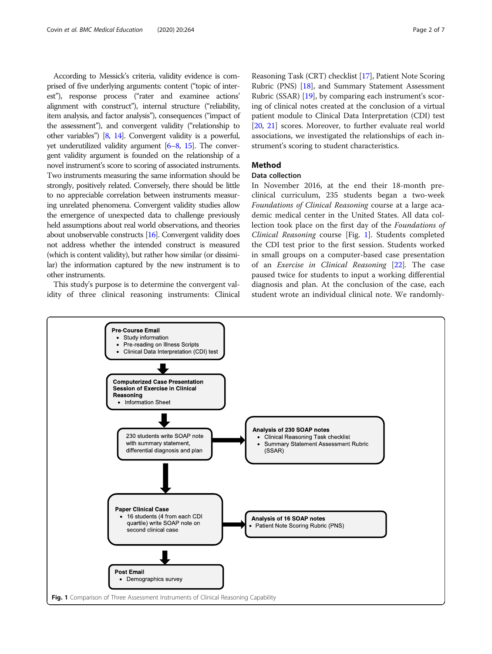According to Messick's criteria, validity evidence is comprised of five underlying arguments: content ("topic of interest"), response process ("rater and examinee actions' alignment with construct"), internal structure ("reliability, item analysis, and factor analysis"), consequences ("impact of the assessment"), and convergent validity ("relationship to other variables") [\[8,](#page-6-0) [14](#page-6-0)]. Convergent validity is a powerful, yet underutilized validity argument [\[6](#page-6-0)–[8,](#page-6-0) [15](#page-6-0)]. The convergent validity argument is founded on the relationship of a novel instrument's score to scoring of associated instruments. Two instruments measuring the same information should be strongly, positively related. Conversely, there should be little to no appreciable correlation between instruments measuring unrelated phenomena. Convergent validity studies allow the emergence of unexpected data to challenge previously held assumptions about real world observations, and theories about unobservable constructs [\[16](#page-6-0)]. Convergent validity does not address whether the intended construct is measured (which is content validity), but rather how similar (or dissimilar) the information captured by the new instrument is to other instruments.

This study's purpose is to determine the convergent validity of three clinical reasoning instruments: Clinical Reasoning Task (CRT) checklist [\[17\]](#page-6-0), Patient Note Scoring Rubric (PNS) [[18](#page-6-0)], and Summary Statement Assessment Rubric (SSAR) [\[19\]](#page-6-0), by comparing each instrument's scoring of clinical notes created at the conclusion of a virtual patient module to Clinical Data Interpretation (CDI) test [[20](#page-6-0), [21](#page-6-0)] scores. Moreover, to further evaluate real world associations, we investigated the relationships of each instrument's scoring to student characteristics.

# Method

# Data collection

In November 2016, at the end their 18-month preclinical curriculum, 235 students began a two-week Foundations of Clinical Reasoning course at a large academic medical center in the United States. All data collection took place on the first day of the Foundations of Clinical Reasoning course [Fig. 1]. Students completed the CDI test prior to the first session. Students worked in small groups on a computer-based case presentation of an Exercise in Clinical Reasoning [\[22](#page-6-0)]. The case paused twice for students to input a working differential diagnosis and plan. At the conclusion of the case, each student wrote an individual clinical note. We randomly-

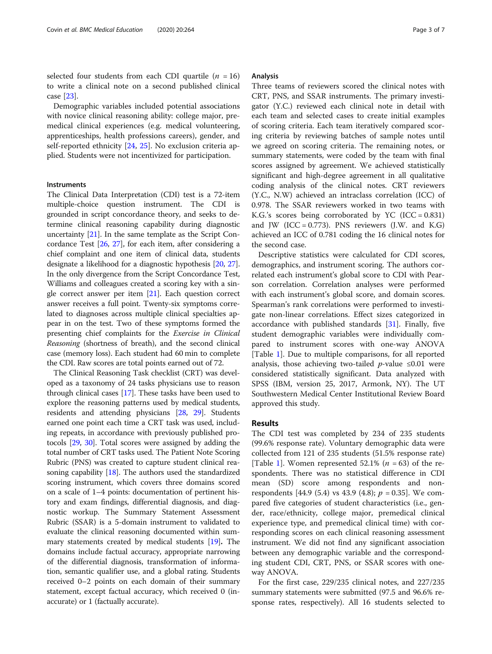selected four students from each CDI quartile  $(n = 16)$ to write a clinical note on a second published clinical case [[23\]](#page-6-0).

Demographic variables included potential associations with novice clinical reasoning ability: college major, premedical clinical experiences (e.g. medical volunteering, apprenticeships, health professions careers), gender, and self-reported ethnicity [[24,](#page-6-0) [25](#page-6-0)]. No exclusion criteria applied. Students were not incentivized for participation.

## Instruments

The Clinical Data Interpretation (CDI) test is a 72-item multiple-choice question instrument. The CDI is grounded in script concordance theory, and seeks to determine clinical reasoning capability during diagnostic uncertainty [\[21](#page-6-0)]. In the same template as the Script Concordance Test [[26](#page-6-0), [27\]](#page-6-0), for each item, after considering a chief complaint and one item of clinical data, students designate a likelihood for a diagnostic hypothesis [[20](#page-6-0), [27](#page-6-0)]. In the only divergence from the Script Concordance Test, Williams and colleagues created a scoring key with a single correct answer per item [[21](#page-6-0)]. Each question correct answer receives a full point. Twenty-six symptoms correlated to diagnoses across multiple clinical specialties appear in on the test. Two of these symptoms formed the presenting chief complaints for the Exercise in Clinical Reasoning (shortness of breath), and the second clinical case (memory loss). Each student had 60 min to complete the CDI. Raw scores are total points earned out of 72.

The Clinical Reasoning Task checklist (CRT) was developed as a taxonomy of 24 tasks physicians use to reason through clinical cases [[17](#page-6-0)]. These tasks have been used to explore the reasoning patterns used by medical students, residents and attending physicians [[28](#page-6-0), [29\]](#page-6-0). Students earned one point each time a CRT task was used, including repeats, in accordance with previously published protocols [\[29,](#page-6-0) [30](#page-6-0)]. Total scores were assigned by adding the total number of CRT tasks used. The Patient Note Scoring Rubric (PNS) was created to capture student clinical reasoning capability [[18\]](#page-6-0). The authors used the standardized scoring instrument, which covers three domains scored on a scale of 1–4 points: documentation of pertinent history and exam findings, differential diagnosis, and diagnostic workup. The Summary Statement Assessment Rubric (SSAR) is a 5-domain instrument to validated to evaluate the clinical reasoning documented within summary statements created by medical students [[19](#page-6-0)]. The domains include factual accuracy, appropriate narrowing of the differential diagnosis, transformation of information, semantic qualifier use, and a global rating. Students received 0–2 points on each domain of their summary statement, except factual accuracy, which received 0 (inaccurate) or 1 (factually accurate).

#### Analysis

Three teams of reviewers scored the clinical notes with CRT, PNS, and SSAR instruments. The primary investigator (Y.C.) reviewed each clinical note in detail with each team and selected cases to create initial examples of scoring criteria. Each team iteratively compared scoring criteria by reviewing batches of sample notes until we agreed on scoring criteria. The remaining notes, or summary statements, were coded by the team with final scores assigned by agreement. We achieved statistically significant and high-degree agreement in all qualitative coding analysis of the clinical notes. CRT reviewers (Y.C., N.W) achieved an intraclass correlation (ICC) of 0.978. The SSAR reviewers worked in two teams with K.G.'s scores being corroborated by  $YC$  (ICC = 0.831) and JW (ICC =  $0.773$ ). PNS reviewers (J.W. and K.G) achieved an ICC of 0.781 coding the 16 clinical notes for the second case.

Descriptive statistics were calculated for CDI scores, demographics, and instrument scoring. The authors correlated each instrument's global score to CDI with Pearson correlation. Correlation analyses were performed with each instrument's global score, and domain scores. Spearman's rank correlations were performed to investigate non-linear correlations. Effect sizes categorized in accordance with published standards [\[31\]](#page-6-0). Finally, five student demographic variables were individually compared to instrument scores with one-way ANOVA [Table [1](#page-3-0)]. Due to multiple comparisons, for all reported analysis, those achieving two-tailed *p*-value  $\leq 0.01$  were considered statistically significant. Data analyzed with SPSS (IBM, version 25, 2017, Armonk, NY). The UT Southwestern Medical Center Institutional Review Board approved this study.

# Results

The CDI test was completed by 234 of 235 students (99.6% response rate). Voluntary demographic data were collected from 121 of 235 students (51.5% response rate) [Table [1](#page-3-0)]. Women represented 52.1% ( $n = 63$ ) of the respondents. There was no statistical difference in CDI mean (SD) score among respondents and nonrespondents [44.9 (5.4) vs 43.9 (4.8);  $p = 0.35$ ]. We compared five categories of student characteristics (i.e., gender, race/ethnicity, college major, premedical clinical experience type, and premedical clinical time) with corresponding scores on each clinical reasoning assessment instrument. We did not find any significant association between any demographic variable and the corresponding student CDI, CRT, PNS, or SSAR scores with oneway ANOVA.

For the first case, 229/235 clinical notes, and 227/235 summary statements were submitted (97.5 and 96.6% response rates, respectively). All 16 students selected to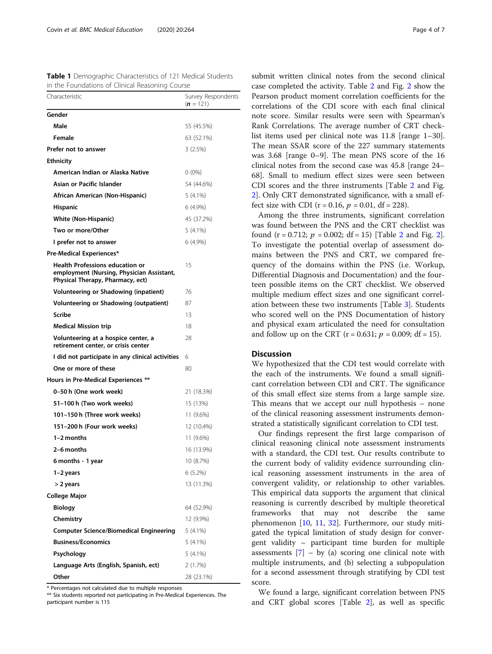<span id="page-3-0"></span>

| Table 1 Demographic Characteristics of 121 Medical Students |  |
|-------------------------------------------------------------|--|
| in the Foundations of Clinical Reasoning Course             |  |

| Characteristic                                                                                                          | Survey Respondents<br>$(n = 121)$ |
|-------------------------------------------------------------------------------------------------------------------------|-----------------------------------|
| Gender                                                                                                                  |                                   |
| Male                                                                                                                    | 55 (45.5%)                        |
| Female                                                                                                                  | 63 (52.1%)                        |
| Prefer not to answer                                                                                                    | 3(2.5%)                           |
| <b>Ethnicity</b>                                                                                                        |                                   |
| American Indian or Alaska Native                                                                                        | $0(0\%)$                          |
| Asian or Pacific Islander                                                                                               | 54 (44.6%)                        |
| African American (Non-Hispanic)                                                                                         | $5(4.1\%)$                        |
| <b>Hispanic</b>                                                                                                         | $6(4.9\%)$                        |
| White (Non-Hispanic)                                                                                                    | 45 (37.2%)                        |
| Two or more/Other                                                                                                       | 5 (4.1%)                          |
| I prefer not to answer                                                                                                  | 6 (4.9%)                          |
| Pre-Medical Experiences*                                                                                                |                                   |
| <b>Health Professions education or</b><br>employment (Nursing, Physician Assistant,<br>Physical Therapy, Pharmacy, ect) | 15                                |
| Volunteering or Shadowing (inpatient)                                                                                   | 76                                |
| Volunteering or Shadowing (outpatient)                                                                                  | 87                                |
| <b>Scribe</b>                                                                                                           | 13                                |
| <b>Medical Mission trip</b>                                                                                             | 18                                |
| Volunteering at a hospice center, a<br>retirement center, or crisis center                                              | 28                                |
| I did not participate in any clinical activities                                                                        | 6                                 |
| One or more of these                                                                                                    | 80                                |
| Hours in Pre-Medical Experiences **                                                                                     |                                   |
| 0–50 h (One work week)                                                                                                  | 21 (18.3%)                        |
| 51–100 h (Two work weeks)                                                                                               | 15 (13%)                          |
| 101-150 h (Three work weeks)                                                                                            | 11 (9.6%)                         |
| 151-200 h (Four work weeks)                                                                                             | 12 (10.4%)                        |
| 1-2 months                                                                                                              | 11 (9.6%)                         |
| 2-6 months                                                                                                              | 16 (13.9%)                        |
| 6 months - 1 year                                                                                                       | 10 (8.7%)                         |
| 1-2 years                                                                                                               | 6(5.2%)                           |
| > 2 years                                                                                                               | 13 (11.3%)                        |
| <b>College Major</b>                                                                                                    |                                   |
| <b>Biology</b>                                                                                                          | 64 (52.9%)                        |
| Chemistry                                                                                                               | 12 (9.9%)                         |
| <b>Computer Science/Biomedical Engineering</b>                                                                          | $5(4.1\%)$                        |
| <b>Business/Economics</b>                                                                                               | $5(4.1\%)$                        |
| Psychology                                                                                                              | $5(4.1\%)$                        |
| Language Arts (English, Spanish, ect)                                                                                   | 2(1.7%)                           |
| Other                                                                                                                   | 28 (23.1%)                        |

\* Percentages not calculated due to multiple responses

\*\* Six students reported not participating in Pre-Medical Experiences. The participant number is 115

submit written clinical notes from the second clinical case completed the activity. Table [2](#page-4-0) and Fig. [2](#page-4-0) show the Pearson product moment correlation coefficients for the correlations of the CDI score with each final clinical note score. Similar results were seen with Spearman's Rank Correlations. The average number of CRT checklist items used per clinical note was 11.8 [range 1–30]. The mean SSAR score of the 227 summary statements was 3.68 [range 0–9]. The mean PNS score of the 16 clinical notes from the second case was 45.8 [range 24– 68]. Small to medium effect sizes were seen between CDI scores and the three instruments [Table [2](#page-4-0) and Fig. [2\]](#page-4-0). Only CRT demonstrated significance, with a small effect size with CDI ( $r = 0.16$ ,  $p = 0.01$ , df = 228).

Among the three instruments, significant correlation was found between the PNS and the CRT checklist was found  $(r = 0.712; p = 0.002; df = 15)$  $(r = 0.712; p = 0.002; df = 15)$  $(r = 0.712; p = 0.002; df = 15)$  [Table 2 and Fig. 2]. To investigate the potential overlap of assessment domains between the PNS and CRT, we compared frequency of the domains within the PNS (i.e. Workup, Differential Diagnosis and Documentation) and the fourteen possible items on the CRT checklist. We observed multiple medium effect sizes and one significant correlation between these two instruments [Table [3\]](#page-5-0). Students who scored well on the PNS Documentation of history and physical exam articulated the need for consultation and follow up on the CRT ( $r = 0.631$ ;  $p = 0.009$ ; df = 15).

# Discussion

We hypothesized that the CDI test would correlate with the each of the instruments. We found a small significant correlation between CDI and CRT. The significance of this small effect size stems from a large sample size. This means that we accept our null hypothesis – none of the clinical reasoning assessment instruments demonstrated a statistically significant correlation to CDI test.

Our findings represent the first large comparison of clinical reasoning clinical note assessment instruments with a standard, the CDI test. Our results contribute to the current body of validity evidence surrounding clinical reasoning assessment instruments in the area of convergent validity, or relationship to other variables. This empirical data supports the argument that clinical reasoning is currently described by multiple theoretical frameworks that may not describe the same phenomenon [[10,](#page-6-0) [11,](#page-6-0) [32](#page-6-0)]. Furthermore, our study mitigated the typical limitation of study design for convergent validity – participant time burden for multiple assessments  $[7]$  – by (a) scoring one clinical note with multiple instruments, and (b) selecting a subpopulation for a second assessment through stratifying by CDI test score.

We found a large, significant correlation between PNS and CRT global scores [Table [2\]](#page-4-0), as well as specific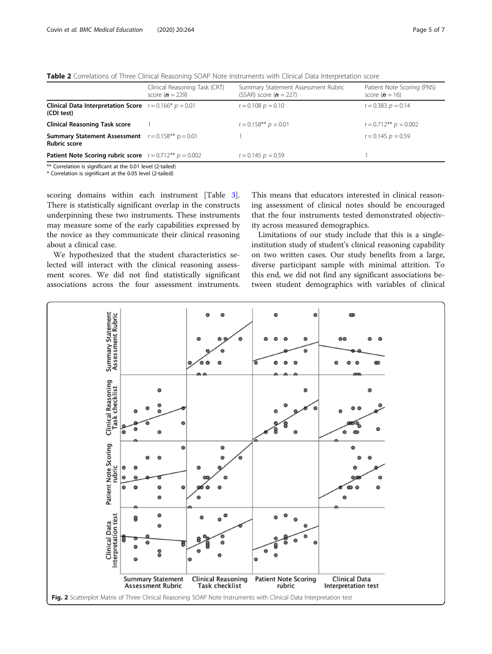<span id="page-4-0"></span>Table 2 Correlations of Three Clinical Reasoning SOAP Note Instruments with Clinical Data Interpretation score

|                                                                                     | Clinical Reasoning Task (CRT)<br>score ( $n = 229$ ) | Summary Statement Assessment Rubric<br>(SSAR) score $(n = 227)$ | Patient Note Scoring (PNS)<br>score ( $n = 16$ ) |
|-------------------------------------------------------------------------------------|------------------------------------------------------|-----------------------------------------------------------------|--------------------------------------------------|
| <b>Clinical Data Interpretation Score</b> $r = 0.166* p = 0.01$<br>(CDI test)       |                                                      | $r = 0.108$ $p = 0.10$                                          | $r = 0.383$ $p = 0.14$                           |
| <b>Clinical Reasoning Task score</b>                                                |                                                      | $r = 0.158**$ $p = 0.01$                                        | $r = 0.712**$ $p = 0.002$                        |
| <b>Summary Statement Assessment</b> $r = 0.158**$ $p = 0.01$<br><b>Rubric score</b> |                                                      |                                                                 | $r = 0.145$ $p = 0.59$                           |
| <b>Patient Note Scoring rubric score</b> $r = 0.712**$ $p = 0.002$                  |                                                      | $r = 0.145$ $p = 0.59$                                          |                                                  |
| $*$ Correlation is significant at the 0.01 lough $(2 + 1)$                          |                                                      |                                                                 |                                                  |

Correlation is significant at the 0.01 level (2-ta $\,$ \* Correlation is significant at the 0.05 level (2-tailed)

scoring domains within each instrument [Table [3](#page-5-0)]. There is statistically significant overlap in the constructs underpinning these two instruments. These instruments may measure some of the early capabilities expressed by

about a clinical case. We hypothesized that the student characteristics selected will interact with the clinical reasoning assessment scores. We did not find statistically significant associations across the four assessment instruments.

the novice as they communicate their clinical reasoning

This means that educators interested in clinical reasoning assessment of clinical notes should be encouraged that the four instruments tested demonstrated objectivity across measured demographics.

Limitations of our study include that this is a singleinstitution study of student's clinical reasoning capability on two written cases. Our study benefits from a large, diverse participant sample with minimal attrition. To this end, we did not find any significant associations between student demographics with variables of clinical

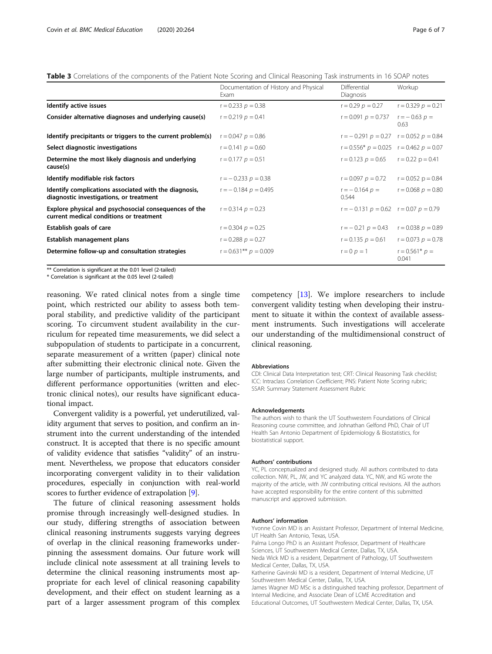<span id="page-5-0"></span>Table 3 Correlations of the components of the Patient Note Scoring and Clinical Reasoning Task instruments in 16 SOAP notes

|                                                                                                  | Documentation of History and Physical<br><b>Fxam</b> | Differential<br>Diagnosis                    | Workup                    |
|--------------------------------------------------------------------------------------------------|------------------------------------------------------|----------------------------------------------|---------------------------|
| Identify active issues                                                                           | $r = 0.233$ $p = 0.38$                               | $r = 0.29$ $p = 0.27$                        | $r = 0.329$ $p = 0.21$    |
| Consider alternative diagnoses and underlying cause(s)                                           | $r = 0.219$ $p = 0.41$                               | $r = 0.091$ $p = 0.737$                      | $r = -0.63$ $p =$<br>0.63 |
| Identify precipitants or triggers to the current problem(s)                                      | $r = 0.047$ $p = 0.86$                               | $r = -0.291 p = 0.27$ $r = 0.052 p = 0.84$   |                           |
| Select diagnostic investigations                                                                 | $r = 0.141$ $p = 0.60$                               | $r = 0.556* p = 0.025$ $r = 0.462 p = 0.07$  |                           |
| Determine the most likely diagnosis and underlying<br>cause(s)                                   | $r = 0.177$ $p = 0.51$                               | $r = 0.123$ $p = 0.65$ $r = 0.22$ $p = 0.41$ |                           |
| Identify modifiable risk factors                                                                 | $r = -0.233$ $p = 0.38$                              | $r = 0.097$ $p = 0.72$                       | $r = 0.052$ $p = 0.84$    |
| Identify complications associated with the diagnosis,<br>diagnostic investigations, or treatment | $r = -0.184 p = 0.495$                               | $r = -0.164 p =$<br>0.544                    | $r = 0.068$ $p = 0.80$    |
| Explore physical and psychosocial consequences of the<br>current medical conditions or treatment | $r = 0.314$ $p = 0.23$                               | $r = -0.131 p = 0.62$ $r = 0.07 p = 0.79$    |                           |
| Establish goals of care                                                                          | $r = 0.304$ $p = 0.25$                               | $r = -0.21$ $p = 0.43$                       | $r = 0.038$ $p = 0.89$    |
| Establish management plans                                                                       | $r = 0.288 p = 0.27$                                 | $r = 0.135$ $p = 0.61$                       | $r = 0.073$ $p = 0.78$    |
| Determine follow-up and consultation strategies                                                  | $r = 0.631**$ $p = 0.009$                            | $r = 0$ $p = 1$                              | $r = 0.561* p =$<br>0.041 |

\*\* Correlation is significant at the 0.01 level (2-tailed)

\* Correlation is significant at the 0.05 level (2-tailed)

reasoning. We rated clinical notes from a single time point, which restricted our ability to assess both temporal stability, and predictive validity of the participant scoring. To circumvent student availability in the curriculum for repeated time measurements, we did select a subpopulation of students to participate in a concurrent, separate measurement of a written (paper) clinical note after submitting their electronic clinical note. Given the large number of participants, multiple instruments, and different performance opportunities (written and electronic clinical notes), our results have significant educational impact.

Convergent validity is a powerful, yet underutilized, validity argument that serves to position, and confirm an instrument into the current understanding of the intended construct. It is accepted that there is no specific amount of validity evidence that satisfies "validity" of an instrument. Nevertheless, we propose that educators consider incorporating convergent validity in to their validation procedures, especially in conjunction with real-world scores to further evidence of extrapolation [\[9](#page-6-0)].

The future of clinical reasoning assessment holds promise through increasingly well-designed studies. In our study, differing strengths of association between clinical reasoning instruments suggests varying degrees of overlap in the clinical reasoning frameworks underpinning the assessment domains. Our future work will include clinical note assessment at all training levels to determine the clinical reasoning instruments most appropriate for each level of clinical reasoning capability development, and their effect on student learning as a part of a larger assessment program of this complex

competency [\[13\]](#page-6-0). We implore researchers to include convergent validity testing when developing their instrument to situate it within the context of available assessment instruments. Such investigations will accelerate our understanding of the multidimensional construct of clinical reasoning.

#### Abbreviations

CDI: Clinical Data Interpretation test; CRT: Clinical Reasoning Task checklist; ICC: Intraclass Correlation Coefficient; PNS: Patient Note Scoring rubric; SSAR: Summary Statement Assessment Rubric

#### Acknowledgements

The authors wish to thank the UT Southwestern Foundations of Clinical Reasoning course committee, and Johnathan Gelfond PhD, Chair of UT Health San Antonio Department of Epidemiology & Biostatistics, for biostatistical support.

#### Authors' contributions

YC, PL conceptualized and designed study. All authors contributed to data collection. NW, PL, JW, and YC analyzed data. YC, NW, and KG wrote the majority of the article, with JW contributing critical revisions. All the authors have accepted responsibility for the entire content of this submitted manuscript and approved submission.

#### Authors' information

Yvonne Covin MD is an Assistant Professor, Department of Internal Medicine, UT Health San Antonio, Texas, USA.

Palma Longo PhD is an Assistant Professor, Department of Healthcare Sciences, UT Southwestern Medical Center, Dallas, TX, USA. Neda Wick MD is a resident, Department of Pathology, UT Southwestern Medical Center, Dallas, TX, USA.

Katherine Gavinski MD is a resident, Department of Internal Medicine, UT Southwestern Medical Center, Dallas, TX, USA.

James Wagner MD MSc is a distinguished teaching professor, Department of Internal Medicine, and Associate Dean of LCME Accreditation and Educational Outcomes, UT Southwestern Medical Center, Dallas, TX, USA.